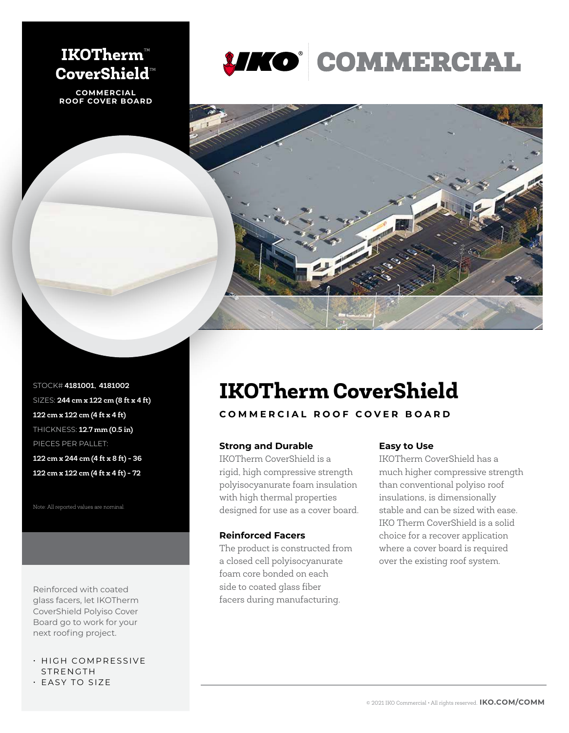## **IKOTherm**™ **CoverShield**™

**COMMERCIAL ROOF COVER BOARD**





STOCK# **4181001, 4181002** SIZES: **244 cm x 122 cm (8 ft x 4 ft) 122 cm x 122 cm (4 ft x 4 ft)** THICKNESS: **12.7 mm (0.5 in)** PIECES PER PALLET:

**122 cm x 244 cm (4 ft x 8 ft) - 36 122 cm x 122 cm (4 ft x 4 ft) - 72** 

Note: All reported values are nominal.

Reinforced with coated glass facers, let IKOTherm CoverShield Polyiso Cover Board go to work for your next roofing project.

## • HIGH COMPRESSIVE STRENGTH

• EASY TO SIZE

# **IKOTherm CoverShield**

### **COMMERCIAL ROOF COVER BOARD**

#### **Strong and Durable**

IKOTherm CoverShield is a rigid, high compressive strength polyisocyanurate foam insulation with high thermal properties designed for use as a cover board.

#### **Reinforced Facers**

The product is constructed from a closed cell polyisocyanurate foam core bonded on each side to coated glass fiber facers during manufacturing.

#### **Easy to Use**

IKOTherm CoverShield has a much higher compressive strength than conventional polyiso roof insulations, is dimensionally stable and can be sized with ease. IKO Therm CoverShield is a solid choice for a recover application where a cover board is required over the existing roof system.